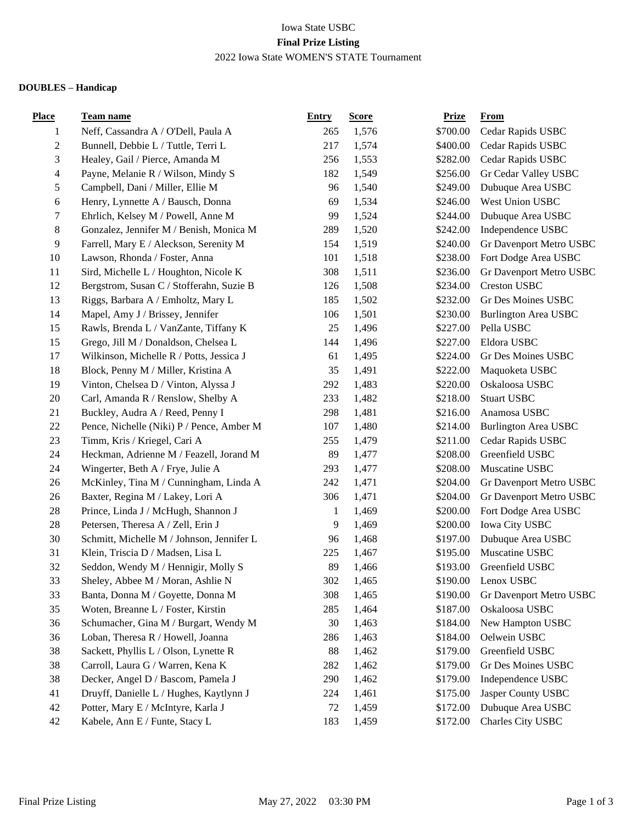# Iowa State USBC **Final Prize Listing** 2022 Iowa State WOMEN'S STATE Tournament

# **DOUBLES – Handicap**

| Place          | Team name                                 | <b>Entry</b> | <b>Score</b> | <b>Prize</b> | <b>From</b>                 |
|----------------|-------------------------------------------|--------------|--------------|--------------|-----------------------------|
| 1              | Neff, Cassandra A / O'Dell, Paula A       | 265          | 1,576        | \$700.00     | Cedar Rapids USBC           |
| $\overline{c}$ | Bunnell, Debbie L / Tuttle, Terri L       | 217          | 1,574        | \$400.00     | Cedar Rapids USBC           |
| 3              | Healey, Gail / Pierce, Amanda M           | 256          | 1,553        | \$282.00     | Cedar Rapids USBC           |
| 4              | Payne, Melanie R / Wilson, Mindy S        | 182          | 1,549        | \$256.00     | Gr Cedar Valley USBC        |
| 5              | Campbell, Dani / Miller, Ellie M          | 96           | 1,540        | \$249.00     | Dubuque Area USBC           |
| 6              | Henry, Lynnette A / Bausch, Donna         | 69           | 1,534        | \$246.00     | West Union USBC             |
| 7              | Ehrlich, Kelsey M / Powell, Anne M        | 99           | 1,524        | \$244.00     | Dubuque Area USBC           |
| 8              | Gonzalez, Jennifer M / Benish, Monica M   | 289          | 1,520        | \$242.00     | Independence USBC           |
| 9              | Farrell, Mary E / Aleckson, Serenity M    | 154          | 1,519        | \$240.00     | Gr Davenport Metro USBC     |
| 10             | Lawson, Rhonda / Foster, Anna             | 101          | 1,518        | \$238.00     | Fort Dodge Area USBC        |
| 11             | Sird, Michelle L / Houghton, Nicole K     | 308          | 1,511        | \$236.00     | Gr Davenport Metro USBC     |
| 12             | Bergstrom, Susan C / Stofferahn, Suzie B  | 126          | 1,508        | \$234.00     | <b>Creston USBC</b>         |
| 13             | Riggs, Barbara A / Emholtz, Mary L        | 185          | 1,502        | \$232.00     | Gr Des Moines USBC          |
| 14             | Mapel, Amy J / Brissey, Jennifer          | 106          | 1,501        | \$230.00     | <b>Burlington Area USBC</b> |
| 15             | Rawls, Brenda L / VanZante, Tiffany K     | 25           | 1,496        | \$227.00     | Pella USBC                  |
| 15             | Grego, Jill M / Donaldson, Chelsea L      | 144          | 1,496        | \$227.00     | Eldora USBC                 |
| 17             | Wilkinson, Michelle R / Potts, Jessica J  | 61           | 1,495        | \$224.00     | Gr Des Moines USBC          |
| 18             | Block, Penny M / Miller, Kristina A       | 35           | 1,491        | \$222.00     | Maquoketa USBC              |
| 19             | Vinton, Chelsea D / Vinton, Alyssa J      | 292          | 1,483        | \$220.00     | Oskaloosa USBC              |
| 20             | Carl, Amanda R / Renslow, Shelby A        | 233          | 1,482        | \$218.00     | <b>Stuart USBC</b>          |
| 21             | Buckley, Audra A / Reed, Penny I          | 298          | 1,481        | \$216.00     | Anamosa USBC                |
| 22             | Pence, Nichelle (Niki) P / Pence, Amber M | 107          | 1,480        | \$214.00     | <b>Burlington Area USBC</b> |
| 23             | Timm, Kris / Kriegel, Cari A              | 255          | 1,479        | \$211.00     | Cedar Rapids USBC           |
| 24             | Heckman, Adrienne M / Feazell, Jorand M   | 89           | 1,477        | \$208.00     | Greenfield USBC             |
| 24             | Wingerter, Beth A / Frye, Julie A         | 293          | 1,477        | \$208.00     | Muscatine USBC              |
| 26             | McKinley, Tina M / Cunningham, Linda A    | 242          | 1,471        | \$204.00     | Gr Davenport Metro USBC     |
| 26             | Baxter, Regina M / Lakey, Lori A          | 306          | 1,471        | \$204.00     | Gr Davenport Metro USBC     |
| 28             | Prince, Linda J / McHugh, Shannon J       | 1            | 1,469        | \$200.00     | Fort Dodge Area USBC        |
| 28             | Petersen, Theresa A / Zell, Erin J        | 9            | 1,469        | \$200.00     | Iowa City USBC              |
| 30             | Schmitt, Michelle M / Johnson, Jennifer L | 96           | 1,468        | \$197.00     | Dubuque Area USBC           |
| 31             | Klein, Triscia D / Madsen, Lisa L         | 225          | 1,467        | \$195.00     | Muscatine USBC              |
| 32             | Seddon, Wendy M / Hennigir, Molly S       | 89           | 1,466        | \$193.00     | Greenfield USBC             |
| 33             | Sheley, Abbee M / Moran, Ashlie N         | 302          | 1,465        | \$190.00     | Lenox USBC                  |
| 33             | Banta, Donna M / Goyette, Donna M         | 308          | 1,465        | \$190.00     | Gr Davenport Metro USBC     |
| 35             | Woten, Breanne L / Foster, Kirstin        | 285          | 1,464        | \$187.00     | Oskaloosa USBC              |
| 36             | Schumacher, Gina M / Burgart, Wendy M     | 30           | 1,463        | \$184.00     | New Hampton USBC            |
| 36             | Loban, Theresa R / Howell, Joanna         | 286          | 1,463        | \$184.00     | Oelwein USBC                |
| 38             | Sackett, Phyllis L / Olson, Lynette R     | 88           | 1,462        | \$179.00     | Greenfield USBC             |
| 38             | Carroll, Laura G / Warren, Kena K         | 282          | 1,462        | \$179.00     | Gr Des Moines USBC          |
| 38             | Decker, Angel D / Bascom, Pamela J        | 290          | 1,462        | \$179.00     | Independence USBC           |
| 41             | Druyff, Danielle L / Hughes, Kaytlynn J   | 224          | 1,461        | \$175.00     | Jasper County USBC          |
| 42             | Potter, Mary E / McIntyre, Karla J        | 72           | 1,459        | \$172.00     | Dubuque Area USBC           |
| 42             | Kabele, Ann E / Funte, Stacy L            | 183          | 1,459        | \$172.00     | Charles City USBC           |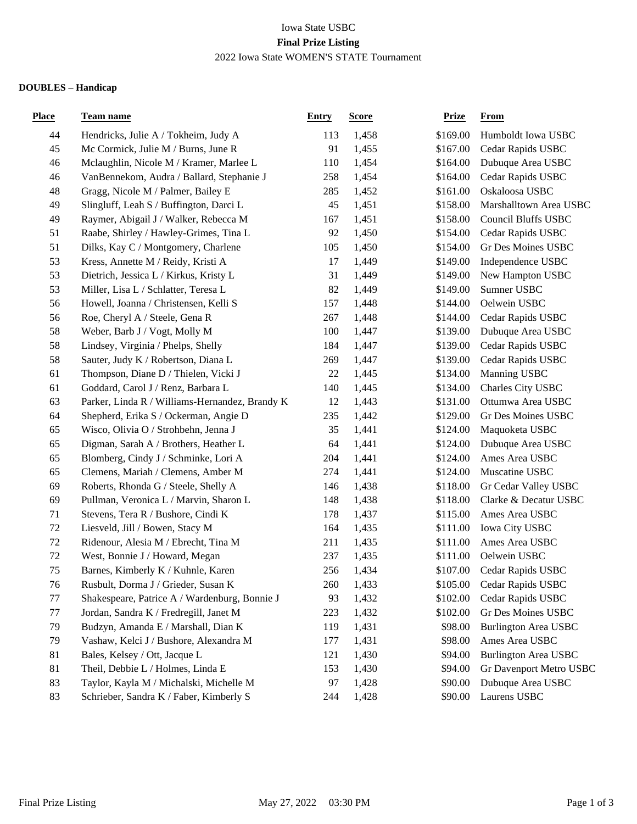# Iowa State USBC **Final Prize Listing** 2022 Iowa State WOMEN'S STATE Tournament

# **DOUBLES – Handicap**

| <b>Place</b> | <b>Team name</b>                               | <b>Entry</b> | <b>Score</b> | <b>Prize</b> | <b>From</b>                 |
|--------------|------------------------------------------------|--------------|--------------|--------------|-----------------------------|
| 44           | Hendricks, Julie A / Tokheim, Judy A           | 113          | 1,458        | \$169.00     | Humboldt Iowa USBC          |
| 45           | Mc Cormick, Julie M / Burns, June R            | 91           | 1,455        | \$167.00     | Cedar Rapids USBC           |
| 46           | Mclaughlin, Nicole M / Kramer, Marlee L        | 110          | 1,454        | \$164.00     | Dubuque Area USBC           |
| 46           | VanBennekom, Audra / Ballard, Stephanie J      | 258          | 1,454        | \$164.00     | Cedar Rapids USBC           |
| 48           | Gragg, Nicole M / Palmer, Bailey E             | 285          | 1,452        | \$161.00     | Oskaloosa USBC              |
| 49           | Slingluff, Leah S / Buffington, Darci L        | 45           | 1,451        | \$158.00     | Marshalltown Area USBC      |
| 49           | Raymer, Abigail J / Walker, Rebecca M          | 167          | 1,451        | \$158.00     | <b>Council Bluffs USBC</b>  |
| 51           | Raabe, Shirley / Hawley-Grimes, Tina L         | 92           | 1,450        | \$154.00     | Cedar Rapids USBC           |
| 51           | Dilks, Kay C / Montgomery, Charlene            | 105          | 1,450        | \$154.00     | Gr Des Moines USBC          |
| 53           | Kress, Annette M / Reidy, Kristi A             | 17           | 1,449        | \$149.00     | Independence USBC           |
| 53           | Dietrich, Jessica L / Kirkus, Kristy L         | 31           | 1,449        | \$149.00     | New Hampton USBC            |
| 53           | Miller, Lisa L / Schlatter, Teresa L           | 82           | 1,449        | \$149.00     | Sumner USBC                 |
| 56           | Howell, Joanna / Christensen, Kelli S          | 157          | 1,448        | \$144.00     | Oelwein USBC                |
| 56           | Roe, Cheryl A / Steele, Gena R                 | 267          | 1,448        | \$144.00     | Cedar Rapids USBC           |
| 58           | Weber, Barb J / Vogt, Molly M                  | 100          | 1,447        | \$139.00     | Dubuque Area USBC           |
| 58           | Lindsey, Virginia / Phelps, Shelly             | 184          | 1,447        | \$139.00     | Cedar Rapids USBC           |
| 58           | Sauter, Judy K / Robertson, Diana L            | 269          | 1,447        | \$139.00     | Cedar Rapids USBC           |
| 61           | Thompson, Diane D / Thielen, Vicki J           | 22           | 1,445        | \$134.00     | Manning USBC                |
| 61           | Goddard, Carol J / Renz, Barbara L             | 140          | 1,445        | \$134.00     | Charles City USBC           |
| 63           | Parker, Linda R / Williams-Hernandez, Brandy K | 12           | 1,443        | \$131.00     | Ottumwa Area USBC           |
| 64           | Shepherd, Erika S / Ockerman, Angie D          | 235          | 1,442        | \$129.00     | Gr Des Moines USBC          |
| 65           | Wisco, Olivia O / Strohbehn, Jenna J           | 35           | 1,441        | \$124.00     | Maquoketa USBC              |
| 65           | Digman, Sarah A / Brothers, Heather L          | 64           | 1,441        | \$124.00     | Dubuque Area USBC           |
| 65           | Blomberg, Cindy J / Schminke, Lori A           | 204          | 1,441        | \$124.00     | Ames Area USBC              |
| 65           | Clemens, Mariah / Clemens, Amber M             | 274          | 1,441        | \$124.00     | Muscatine USBC              |
| 69           | Roberts, Rhonda G / Steele, Shelly A           | 146          | 1,438        | \$118.00     | Gr Cedar Valley USBC        |
| 69           | Pullman, Veronica L / Marvin, Sharon L         | 148          | 1,438        | \$118.00     | Clarke & Decatur USBC       |
| 71           | Stevens, Tera R / Bushore, Cindi K             | 178          | 1,437        | \$115.00     | Ames Area USBC              |
| 72           | Liesveld, Jill / Bowen, Stacy M                | 164          | 1,435        | \$111.00     | Iowa City USBC              |
| 72           | Ridenour, Alesia M / Ebrecht, Tina M           | 211          | 1,435        | \$111.00     | Ames Area USBC              |
| 72           | West, Bonnie J / Howard, Megan                 | 237          | 1,435        | \$111.00     | Oelwein USBC                |
| 75           | Barnes, Kimberly K / Kuhnle, Karen             | 256          | 1,434        | \$107.00     | Cedar Rapids USBC           |
| 76           | Rusbult, Dorma J / Grieder, Susan K            | 260          | 1,433        | \$105.00     | Cedar Rapids USBC           |
| 77           | Shakespeare, Patrice A / Wardenburg, Bonnie J  | 93           | 1,432        | \$102.00     | Cedar Rapids USBC           |
| 77           | Jordan, Sandra K / Fredregill, Janet M         | 223          | 1,432        | \$102.00     | Gr Des Moines USBC          |
| 79           | Budzyn, Amanda E / Marshall, Dian K            | 119          | 1,431        | \$98.00      | <b>Burlington Area USBC</b> |
| 79           | Vashaw, Kelci J / Bushore, Alexandra M         | 177          | 1,431        | \$98.00      | Ames Area USBC              |
| 81           | Bales, Kelsey / Ott, Jacque L                  | 121          | 1,430        | \$94.00      | <b>Burlington Area USBC</b> |
| 81           | Theil, Debbie L / Holmes, Linda E              | 153          | 1,430        | \$94.00      | Gr Davenport Metro USBC     |
| 83           | Taylor, Kayla M / Michalski, Michelle M        | 97           | 1,428        | \$90.00      | Dubuque Area USBC           |
| 83           | Schrieber, Sandra K / Faber, Kimberly S        | 244          | 1,428        | \$90.00      | Laurens USBC                |